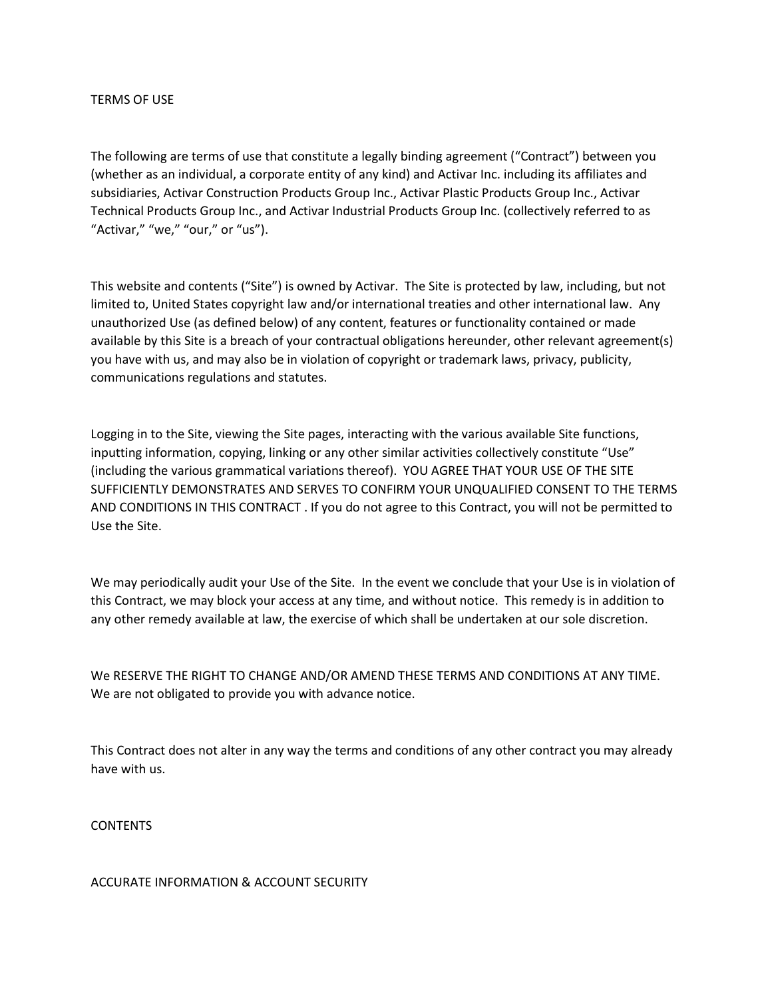## TERMS OF USE

The following are terms of use that constitute a legally binding agreement ("Contract") between you (whether as an individual, a corporate entity of any kind) and Activar Inc. including its affiliates and subsidiaries, Activar Construction Products Group Inc., Activar Plastic Products Group Inc., Activar Technical Products Group Inc., and Activar Industrial Products Group Inc. (collectively referred to as "Activar," "we," "our," or "us").

This website and contents ("Site") is owned by Activar. The Site is protected by law, including, but not limited to, United States copyright law and/or international treaties and other international law. Any unauthorized Use (as defined below) of any content, features or functionality contained or made available by this Site is a breach of your contractual obligations hereunder, other relevant agreement(s) you have with us, and may also be in violation of copyright or trademark laws, privacy, publicity, communications regulations and statutes.

Logging in to the Site, viewing the Site pages, interacting with the various available Site functions, inputting information, copying, linking or any other similar activities collectively constitute "Use" (including the various grammatical variations thereof). YOU AGREE THAT YOUR USE OF THE SITE SUFFICIENTLY DEMONSTRATES AND SERVES TO CONFIRM YOUR UNQUALIFIED CONSENT TO THE TERMS AND CONDITIONS IN THIS CONTRACT . If you do not agree to this Contract, you will not be permitted to Use the Site.

We may periodically audit your Use of the Site. In the event we conclude that your Use is in violation of this Contract, we may block your access at any time, and without notice. This remedy is in addition to any other remedy available at law, the exercise of which shall be undertaken at our sole discretion.

We RESERVE THE RIGHT TO CHANGE AND/OR AMEND THESE TERMS AND CONDITIONS AT ANY TIME. We are not obligated to provide you with advance notice.

This Contract does not alter in any way the terms and conditions of any other contract you may already have with us.

**CONTENTS** 

ACCURATE INFORMATION & ACCOUNT SECURITY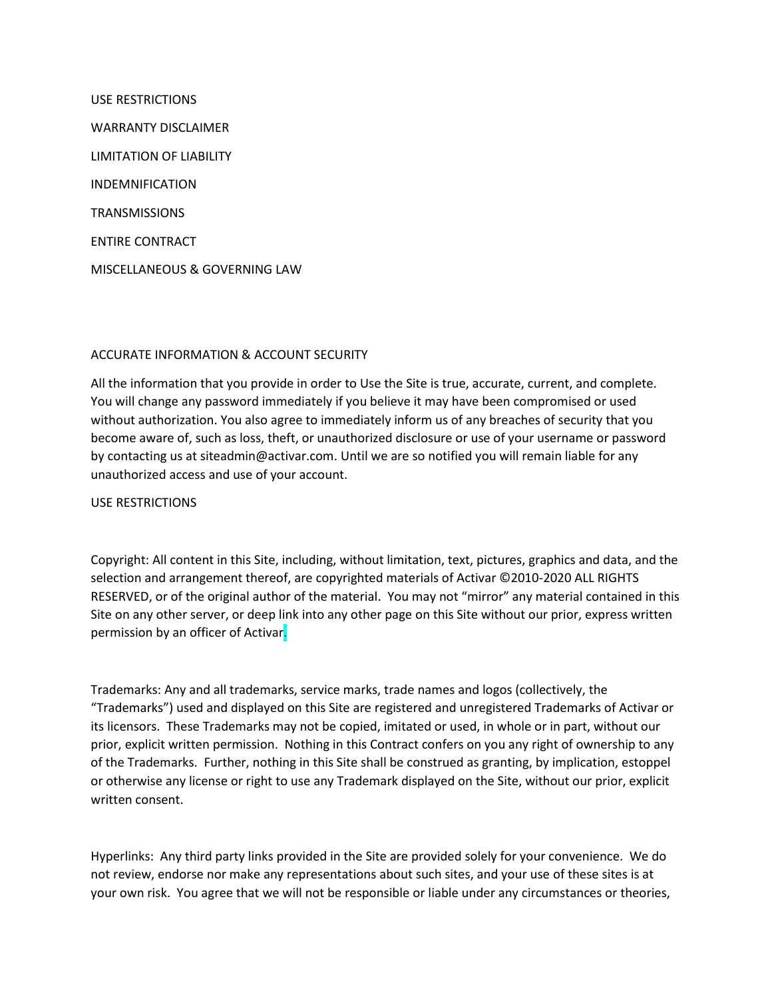USE RESTRICTIONS WARRANTY DISCLAIMER LIMITATION OF LIABILITY INDEMNIFICATION **TRANSMISSIONS** ENTIRE CONTRACT MISCELLANEOUS & GOVERNING LAW

# ACCURATE INFORMATION & ACCOUNT SECURITY

All the information that you provide in order to Use the Site is true, accurate, current, and complete. You will change any password immediately if you believe it may have been compromised or used without authorization. You also agree to immediately inform us of any breaches of security that you become aware of, such as loss, theft, or unauthorized disclosure or use of your username or password by contacting us at siteadmin@activar.com. Until we are so notified you will remain liable for any unauthorized access and use of your account.

USE RESTRICTIONS

Copyright: All content in this Site, including, without limitation, text, pictures, graphics and data, and the selection and arrangement thereof, are copyrighted materials of Activar ©2010-2020 ALL RIGHTS RESERVED, or of the original author of the material. You may not "mirror" any material contained in this Site on any other server, or deep link into any other page on this Site without our prior, express written permission by an officer of Activar.

Trademarks: Any and all trademarks, service marks, trade names and logos (collectively, the "Trademarks") used and displayed on this Site are registered and unregistered Trademarks of Activar or its licensors. These Trademarks may not be copied, imitated or used, in whole or in part, without our prior, explicit written permission. Nothing in this Contract confers on you any right of ownership to any of the Trademarks. Further, nothing in this Site shall be construed as granting, by implication, estoppel or otherwise any license or right to use any Trademark displayed on the Site, without our prior, explicit written consent.

Hyperlinks: Any third party links provided in the Site are provided solely for your convenience. We do not review, endorse nor make any representations about such sites, and your use of these sites is at your own risk. You agree that we will not be responsible or liable under any circumstances or theories,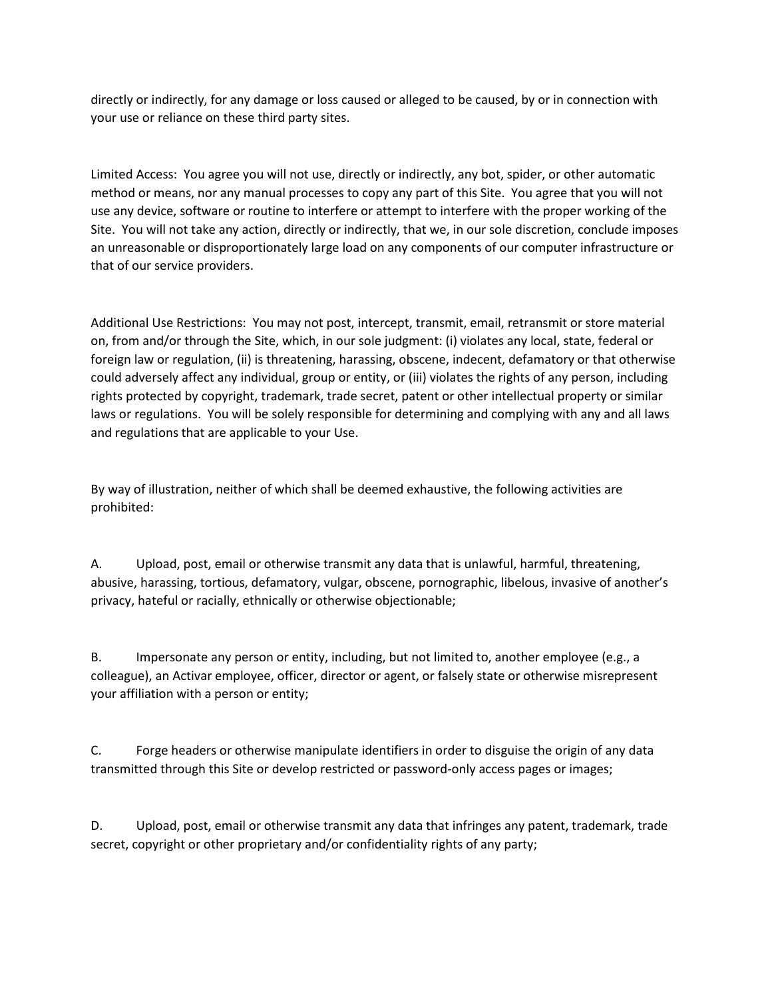directly or indirectly, for any damage or loss caused or alleged to be caused, by or in connection with your use or reliance on these third party sites.

Limited Access: You agree you will not use, directly or indirectly, any bot, spider, or other automatic method or means, nor any manual processes to copy any part of this Site. You agree that you will not use any device, software or routine to interfere or attempt to interfere with the proper working of the Site. You will not take any action, directly or indirectly, that we, in our sole discretion, conclude imposes an unreasonable or disproportionately large load on any components of our computer infrastructure or that of our service providers.

Additional Use Restrictions: You may not post, intercept, transmit, email, retransmit or store material on, from and/or through the Site, which, in our sole judgment: (i) violates any local, state, federal or foreign law or regulation, (ii) is threatening, harassing, obscene, indecent, defamatory or that otherwise could adversely affect any individual, group or entity, or (iii) violates the rights of any person, including rights protected by copyright, trademark, trade secret, patent or other intellectual property or similar laws or regulations. You will be solely responsible for determining and complying with any and all laws and regulations that are applicable to your Use.

By way of illustration, neither of which shall be deemed exhaustive, the following activities are prohibited:

A. Upload, post, email or otherwise transmit any data that is unlawful, harmful, threatening, abusive, harassing, tortious, defamatory, vulgar, obscene, pornographic, libelous, invasive of another's privacy, hateful or racially, ethnically or otherwise objectionable;

B. Impersonate any person or entity, including, but not limited to, another employee (e.g., a colleague), an Activar employee, officer, director or agent, or falsely state or otherwise misrepresent your affiliation with a person or entity;

C. Forge headers or otherwise manipulate identifiers in order to disguise the origin of any data transmitted through this Site or develop restricted or password-only access pages or images;

D. Upload, post, email or otherwise transmit any data that infringes any patent, trademark, trade secret, copyright or other proprietary and/or confidentiality rights of any party;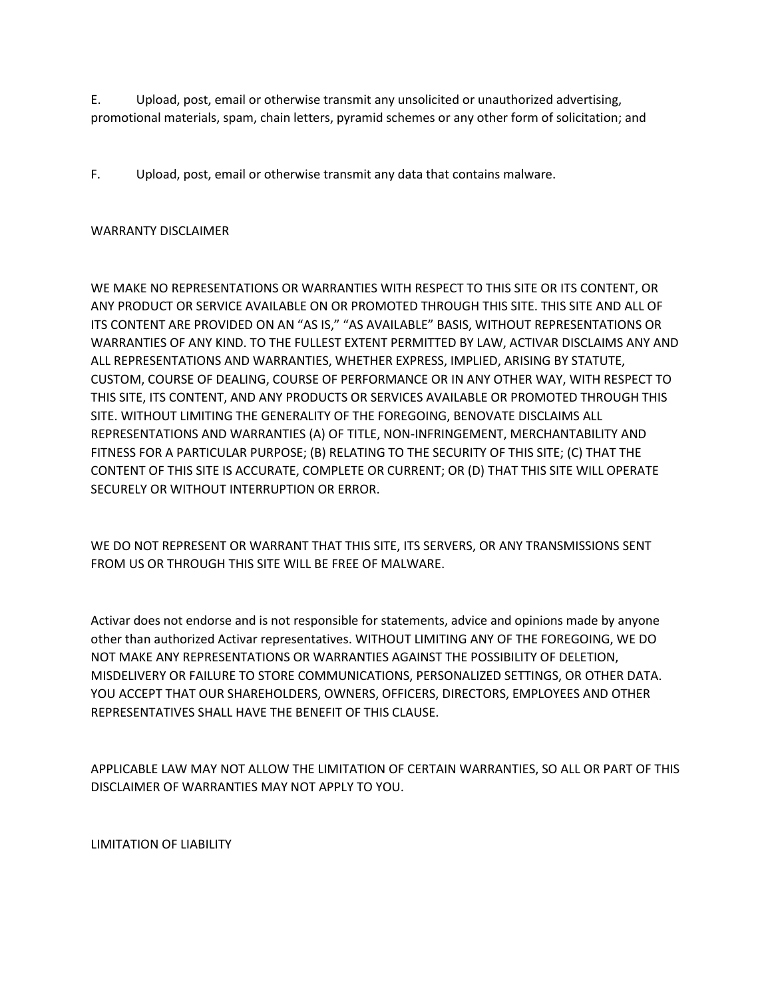E. Upload, post, email or otherwise transmit any unsolicited or unauthorized advertising, promotional materials, spam, chain letters, pyramid schemes or any other form of solicitation; and

F. Upload, post, email or otherwise transmit any data that contains malware.

# WARRANTY DISCLAIMER

WE MAKE NO REPRESENTATIONS OR WARRANTIES WITH RESPECT TO THIS SITE OR ITS CONTENT, OR ANY PRODUCT OR SERVICE AVAILABLE ON OR PROMOTED THROUGH THIS SITE. THIS SITE AND ALL OF ITS CONTENT ARE PROVIDED ON AN "AS IS," "AS AVAILABLE" BASIS, WITHOUT REPRESENTATIONS OR WARRANTIES OF ANY KIND. TO THE FULLEST EXTENT PERMITTED BY LAW, ACTIVAR DISCLAIMS ANY AND ALL REPRESENTATIONS AND WARRANTIES, WHETHER EXPRESS, IMPLIED, ARISING BY STATUTE, CUSTOM, COURSE OF DEALING, COURSE OF PERFORMANCE OR IN ANY OTHER WAY, WITH RESPECT TO THIS SITE, ITS CONTENT, AND ANY PRODUCTS OR SERVICES AVAILABLE OR PROMOTED THROUGH THIS SITE. WITHOUT LIMITING THE GENERALITY OF THE FOREGOING, BENOVATE DISCLAIMS ALL REPRESENTATIONS AND WARRANTIES (A) OF TITLE, NON-INFRINGEMENT, MERCHANTABILITY AND FITNESS FOR A PARTICULAR PURPOSE; (B) RELATING TO THE SECURITY OF THIS SITE; (C) THAT THE CONTENT OF THIS SITE IS ACCURATE, COMPLETE OR CURRENT; OR (D) THAT THIS SITE WILL OPERATE SECURELY OR WITHOUT INTERRUPTION OR ERROR.

WE DO NOT REPRESENT OR WARRANT THAT THIS SITE, ITS SERVERS, OR ANY TRANSMISSIONS SENT FROM US OR THROUGH THIS SITE WILL BE FREE OF MALWARE.

Activar does not endorse and is not responsible for statements, advice and opinions made by anyone other than authorized Activar representatives. WITHOUT LIMITING ANY OF THE FOREGOING, WE DO NOT MAKE ANY REPRESENTATIONS OR WARRANTIES AGAINST THE POSSIBILITY OF DELETION, MISDELIVERY OR FAILURE TO STORE COMMUNICATIONS, PERSONALIZED SETTINGS, OR OTHER DATA. YOU ACCEPT THAT OUR SHAREHOLDERS, OWNERS, OFFICERS, DIRECTORS, EMPLOYEES AND OTHER REPRESENTATIVES SHALL HAVE THE BENEFIT OF THIS CLAUSE.

APPLICABLE LAW MAY NOT ALLOW THE LIMITATION OF CERTAIN WARRANTIES, SO ALL OR PART OF THIS DISCLAIMER OF WARRANTIES MAY NOT APPLY TO YOU.

LIMITATION OF LIABILITY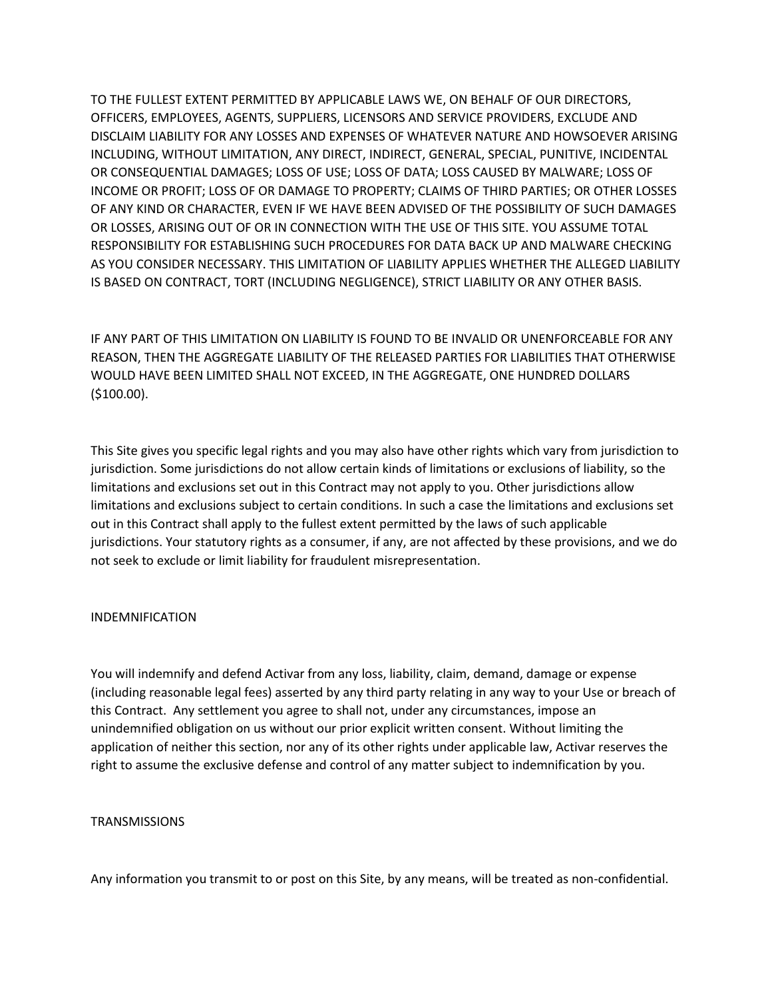TO THE FULLEST EXTENT PERMITTED BY APPLICABLE LAWS WE, ON BEHALF OF OUR DIRECTORS, OFFICERS, EMPLOYEES, AGENTS, SUPPLIERS, LICENSORS AND SERVICE PROVIDERS, EXCLUDE AND DISCLAIM LIABILITY FOR ANY LOSSES AND EXPENSES OF WHATEVER NATURE AND HOWSOEVER ARISING INCLUDING, WITHOUT LIMITATION, ANY DIRECT, INDIRECT, GENERAL, SPECIAL, PUNITIVE, INCIDENTAL OR CONSEQUENTIAL DAMAGES; LOSS OF USE; LOSS OF DATA; LOSS CAUSED BY MALWARE; LOSS OF INCOME OR PROFIT; LOSS OF OR DAMAGE TO PROPERTY; CLAIMS OF THIRD PARTIES; OR OTHER LOSSES OF ANY KIND OR CHARACTER, EVEN IF WE HAVE BEEN ADVISED OF THE POSSIBILITY OF SUCH DAMAGES OR LOSSES, ARISING OUT OF OR IN CONNECTION WITH THE USE OF THIS SITE. YOU ASSUME TOTAL RESPONSIBILITY FOR ESTABLISHING SUCH PROCEDURES FOR DATA BACK UP AND MALWARE CHECKING AS YOU CONSIDER NECESSARY. THIS LIMITATION OF LIABILITY APPLIES WHETHER THE ALLEGED LIABILITY IS BASED ON CONTRACT, TORT (INCLUDING NEGLIGENCE), STRICT LIABILITY OR ANY OTHER BASIS.

IF ANY PART OF THIS LIMITATION ON LIABILITY IS FOUND TO BE INVALID OR UNENFORCEABLE FOR ANY REASON, THEN THE AGGREGATE LIABILITY OF THE RELEASED PARTIES FOR LIABILITIES THAT OTHERWISE WOULD HAVE BEEN LIMITED SHALL NOT EXCEED, IN THE AGGREGATE, ONE HUNDRED DOLLARS (\$100.00).

This Site gives you specific legal rights and you may also have other rights which vary from jurisdiction to jurisdiction. Some jurisdictions do not allow certain kinds of limitations or exclusions of liability, so the limitations and exclusions set out in this Contract may not apply to you. Other jurisdictions allow limitations and exclusions subject to certain conditions. In such a case the limitations and exclusions set out in this Contract shall apply to the fullest extent permitted by the laws of such applicable jurisdictions. Your statutory rights as a consumer, if any, are not affected by these provisions, and we do not seek to exclude or limit liability for fraudulent misrepresentation.

# INDEMNIFICATION

You will indemnify and defend Activar from any loss, liability, claim, demand, damage or expense (including reasonable legal fees) asserted by any third party relating in any way to your Use or breach of this Contract. Any settlement you agree to shall not, under any circumstances, impose an unindemnified obligation on us without our prior explicit written consent. Without limiting the application of neither this section, nor any of its other rights under applicable law, Activar reserves the right to assume the exclusive defense and control of any matter subject to indemnification by you.

# **TRANSMISSIONS**

Any information you transmit to or post on this Site, by any means, will be treated as non-confidential.